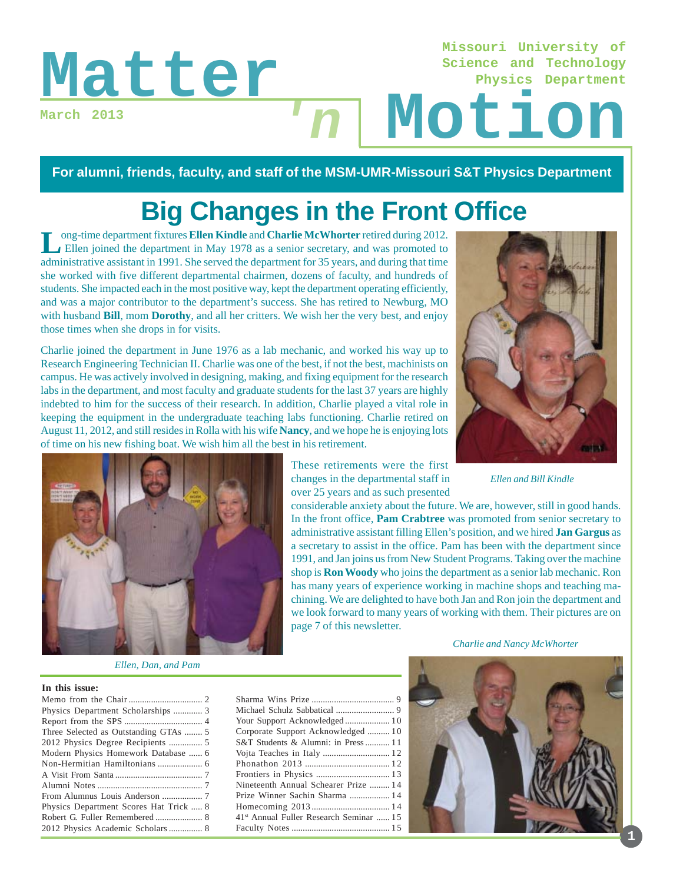# Matter In Motion

**March 2013**

# **Science and Technology Physics Department**

**Missouri University of**

#### **For alumni, friends, faculty, and staff of the MSM-UMR-Missouri S&T Physics Department**

 $n<sub>l</sub>$ 

# **Big Changes in the Front Office**

**L**ong-time department fixtures **Ellen Kindle** and **Charlie McWhorter** retired during 2012. Ellen joined the department in May 1978 as a senior secretary, and was promoted to administrative assistant in 1991. She served the department for 35 years, and during that time she worked with five different departmental chairmen, dozens of faculty, and hundreds of students. She impacted each in the most positive way, kept the department operating efficiently, and was a major contributor to the department's success. She has retired to Newburg, MO with husband **Bill**, mom **Dorothy**, and all her critters. We wish her the very best, and enjoy those times when she drops in for visits.

Charlie joined the department in June 1976 as a lab mechanic, and worked his way up to Research Engineering Technician II. Charlie was one of the best, if not the best, machinists on campus. He was actively involved in designing, making, and fixing equipment for the research labs in the department, and most faculty and graduate students for the last 37 years are highly indebted to him for the success of their research. In addition, Charlie played a vital role in keeping the equipment in the undergraduate teaching labs functioning. Charlie retired on August 11, 2012, and still resides in Rolla with his wife **Nancy**, and we hope he is enjoying lots of time on his new fishing boat. We wish him all the best in his retirement.



*Ellen and Bill Kindle*



*Ellen, Dan, and Pam*

#### **In this issue:**

These retirements were the first changes in the departmental staff in over 25 years and as such presented

considerable anxiety about the future. We are, however, still in good hands. In the front office, **Pam Crabtree** was promoted from senior secretary to administrative assistant filling Ellen's position, and we hired **Jan Gargus** as a secretary to assist in the office. Pam has been with the department since 1991, and Jan joins us from New Student Programs. Taking over the machine shop is **Ron Woody** who joins the department as a senior lab mechanic. Ron has many years of experience working in machine shops and teaching machining. We are delighted to have both Jan and Ron join the department and we look forward to many years of working with them. Their pictures are on page 7 of this newsletter.

*Charlie and Nancy McWhorter*

Sharma Wins Prize ..................................... 9 Michael Schulz Sabbatical .......................... 9 Your Support Acknowledged .................... 1 0 Corporate Support Acknowledged .......... 10 S&T Students & Alumni: in Press........... 1 1 Vojta Teaches in Italy .............................. 1 2 Phonathon 2013 ...................................... 1 2 Frontiers in Physics ................................. 1 3 Nineteenth Annual Schearer Prize ......... 1 4 Prize Winner Sachin Sharma .................. 1 4 Homecoming 2013 ................................... 1 4 41st Annual Fuller Research Seminar ...... 1 5 Faculty Notes ............................................ 1 5



**1**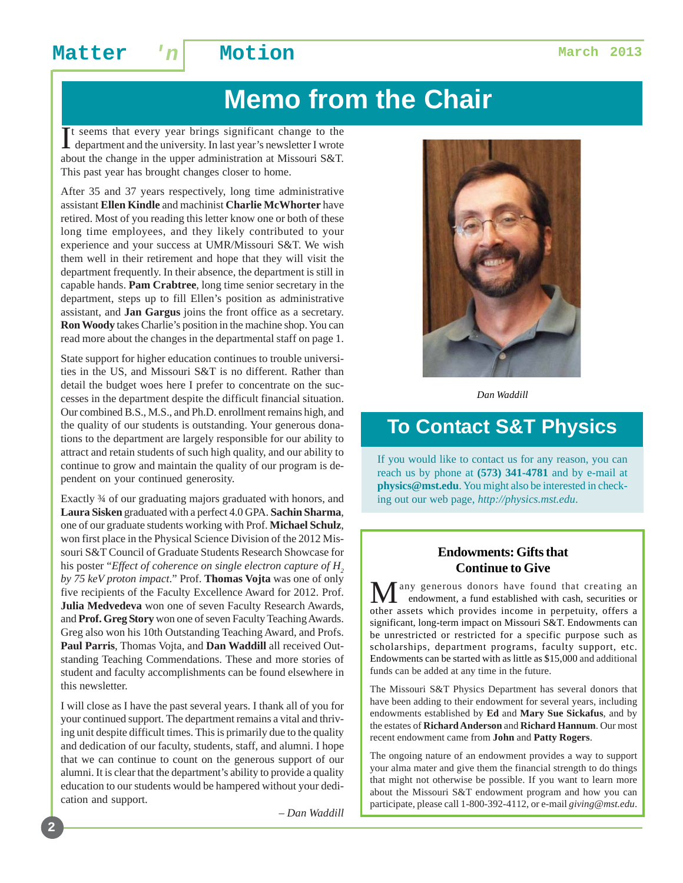# **Memo from the Chair**

It seems that every year brings significant change to the department and the university. In last year's newsletter I wrote t seems that every year brings significant change to the about the change in the upper administration at Missouri S&T. This past year has brought changes closer to home.

After 35 and 37 years respectively, long time administrative assistant **Ellen Kindle** and machinist **Charlie McWhorter** have retired. Most of you reading this letter know one or both of these long time employees, and they likely contributed to your experience and your success at UMR/Missouri S&T. We wish them well in their retirement and hope that they will visit the department frequently. In their absence, the department is still in capable hands. **Pam Crabtree**, long time senior secretary in the department, steps up to fill Ellen's position as administrative assistant, and **Jan Gargus** joins the front office as a secretary. **Ron Woody** takes Charlie's position in the machine shop. You can read more about the changes in the departmental staff on page 1.

State support for higher education continues to trouble universities in the US, and Missouri S&T is no different. Rather than detail the budget woes here I prefer to concentrate on the successes in the department despite the difficult financial situation. Our combined B.S., M.S., and Ph.D. enrollment remains high, and the quality of our students is outstanding. Your generous donations to the department are largely responsible for our ability to attract and retain students of such high quality, and our ability to continue to grow and maintain the quality of our program is dependent on your continued generosity.

Exactly ¾ of our graduating majors graduated with honors, and **Laura Sisken** graduated with a perfect 4.0 GPA. **Sachin Sharma**, one of our graduate students working with Prof. **Michael Schulz**, won first place in the Physical Science Division of the 2012 Missouri S&T Council of Graduate Students Research Showcase for his poster "*Effect of coherence on single electron capture of H<sub>2</sub> by 75 keV proton impact*." Prof. **Thomas Vojta** was one of only five recipients of the Faculty Excellence Award for 2012. Prof. **Julia Medvedeva** won one of seven Faculty Research Awards, and **Prof. Greg Story** won one of seven Faculty Teaching Awards. Greg also won his 10th Outstanding Teaching Award, and Profs. **Paul Parris**, Thomas Vojta, and **Dan Waddill** all received Outstanding Teaching Commendations. These and more stories of student and faculty accomplishments can be found elsewhere in this newsletter.

I will close as I have the past several years. I thank all of you for your continued support. The department remains a vital and thriving unit despite difficult times. This is primarily due to the quality and dedication of our faculty, students, staff, and alumni. I hope that we can continue to count on the generous support of our alumni. It is clear that the department's ability to provide a quality education to our students would be hampered without your dedication and support.

– *Dan Waddill*



*Dan Waddill*

### **To Contact S&T Physics**

If you would like to contact us for any reason, you can reach us by phone at **(573) 341-4781** and by e-mail at **physics@mst.edu**. You might also be interested in checking out our web page, *http://physics.mst.edu*.

#### **Endowments: Gifts that Continue to Give**

any generous donors have found that creating an endowment, a fund established with cash, securities or other assets which provides income in perpetuity, offers a significant, long-term impact on Missouri S&T. Endowments can be unrestricted or restricted for a specific purpose such as scholarships, department programs, faculty support, etc. Endowments can be started with as little as \$15,000 and additional funds can be added at any time in the future.

The Missouri S&T Physics Department has several donors that have been adding to their endowment for several years, including endowments established by **Ed** and **Mary Sue Sickafus**, and by the estates of **Richard Anderson** and **Richard Hannum**. Our most recent endowment came from **John** and **Patty Rogers**.

The ongoing nature of an endowment provides a way to support your alma mater and give them the financial strength to do things that might not otherwise be possible. If you want to learn more about the Missouri S&T endowment program and how you can participate, please call 1-800-392-4112, or e-mail *giving@mst.edu*.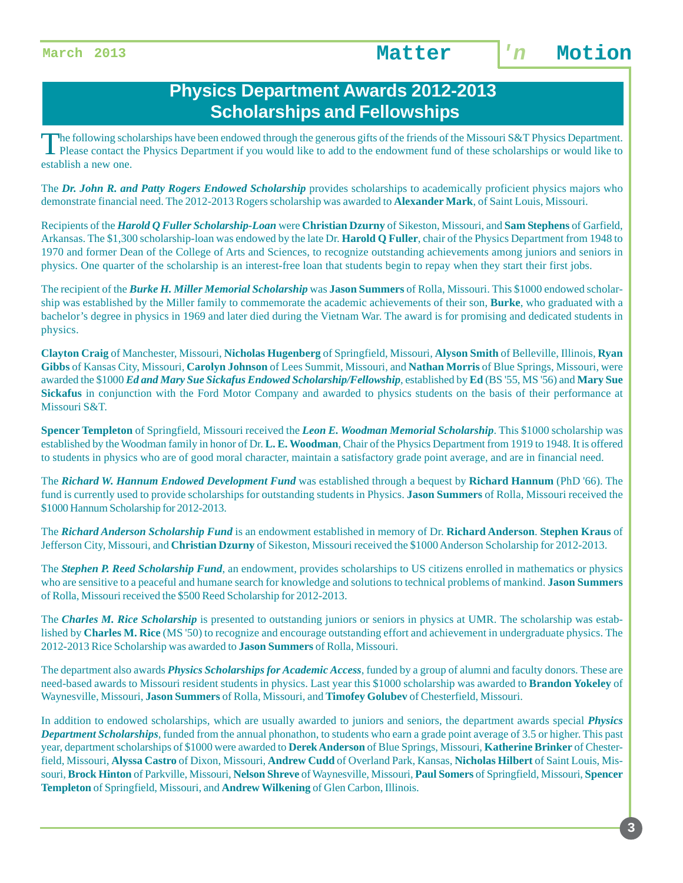#### **Physics Department Awards 2012-2013 Scholarships and Fellowships**

The following scholarships have been endowed through the generous gifts of the friends of the Missouri S&T Physics Department.<br>Please contact the Physics Department if you would like to add to the endowment fund of these s establish a new one.

The *Dr. John R. and Patty Rogers Endowed Scholarship* provides scholarships to academically proficient physics majors who demonstrate financial need. The 2012-2013 Rogers scholarship was awarded to **Alexander Mark**, of Saint Louis, Missouri.

Recipients of the *Harold Q Fuller Scholarship-Loan* were **Christian Dzurny** of Sikeston, Missouri, and **Sam Stephens** of Garfield, Arkansas. The \$1,300 scholarship-loan was endowed by the late Dr. **Harold Q Fuller**, chair of the Physics Department from 1948 to 1970 and former Dean of the College of Arts and Sciences, to recognize outstanding achievements among juniors and seniors in physics. One quarter of the scholarship is an interest-free loan that students begin to repay when they start their first jobs.

The recipient of the *Burke H. Miller Memorial Scholarship* was **Jason Summers** of Rolla, Missouri. This \$1000 endowed scholarship was established by the Miller family to commemorate the academic achievements of their son, **Burke**, who graduated with a bachelor's degree in physics in 1969 and later died during the Vietnam War. The award is for promising and dedicated students in physics.

**Clayton Craig** of Manchester, Missouri, **Nicholas Hugenberg** of Springfield, Missouri, **Alyson Smith** of Belleville, Illinois, **Ryan Gibbs** of Kansas City, Missouri, **Carolyn Johnson** of Lees Summit, Missouri, and **Nathan Morris** of Blue Springs, Missouri, were awarded the \$1000 *Ed and Mary Sue Sickafus Endowed Scholarship/Fellowship*, established by **Ed** (BS '55, MS '56) and **Mary Sue Sickafus** in conjunction with the Ford Motor Company and awarded to physics students on the basis of their performance at Missouri S&T.

**Spencer Templeton** of Springfield, Missouri received the *Leon E. Woodman Memorial Scholarship*. This \$1000 scholarship was established by the Woodman family in honor of Dr. **L. E. Woodman**, Chair of the Physics Department from 1919 to 1948. It is offered to students in physics who are of good moral character, maintain a satisfactory grade point average, and are in financial need.

The *Richard W. Hannum Endowed Development Fund* was established through a bequest by **Richard Hannum** (PhD '66). The fund is currently used to provide scholarships for outstanding students in Physics. **Jason Summers** of Rolla, Missouri received the \$1000 Hannum Scholarship for 2012-2013.

The *Richard Anderson Scholarship Fund* is an endowment established in memory of Dr. **Richard Anderson**. **Stephen Kraus** of Jefferson City, Missouri, and **Christian Dzurny** of Sikeston, Missouri received the \$1000 Anderson Scholarship for 2012-2013.

The *Stephen P. Reed Scholarship Fund*, an endowment, provides scholarships to US citizens enrolled in mathematics or physics who are sensitive to a peaceful and humane search for knowledge and solutions to technical problems of mankind. **Jason Summers** of Rolla, Missouri received the \$500 Reed Scholarship for 2012-2013.

The *Charles M. Rice Scholarship* is presented to outstanding juniors or seniors in physics at UMR. The scholarship was established by **Charles M. Rice** (MS '50) to recognize and encourage outstanding effort and achievement in undergraduate physics. The 2012-2013 Rice Scholarship was awarded to **Jason Summers** of Rolla, Missouri.

The department also awards *Physics Scholarships for Academic Access*, funded by a group of alumni and faculty donors. These are need-based awards to Missouri resident students in physics. Last year this \$1000 scholarship was awarded to **Brandon Yokeley** of Waynesville, Missouri, **Jason Summers** of Rolla, Missouri, and **Timofey Golubev** of Chesterfield, Missouri.

In addition to endowed scholarships, which are usually awarded to juniors and seniors, the department awards special *Physics Department Scholarships*, funded from the annual phonathon, to students who earn a grade point average of 3.5 or higher. This past year, department scholarships of \$1000 were awarded to **Derek Anderson** of Blue Springs, Missouri, **Katherine Brinker** of Chesterfield, Missouri, **Alyssa Castro** of Dixon, Missouri, **Andrew Cudd** of Overland Park, Kansas, **Nicholas Hilbert** of Saint Louis, Missouri, **Brock Hinton** of Parkville, Missouri, **Nelson Shreve** of Waynesville, Missouri, **Paul Somers** of Springfield, Missouri, **Spencer Templeton** of Springfield, Missouri, and **Andrew Wilkening** of Glen Carbon, Illinois.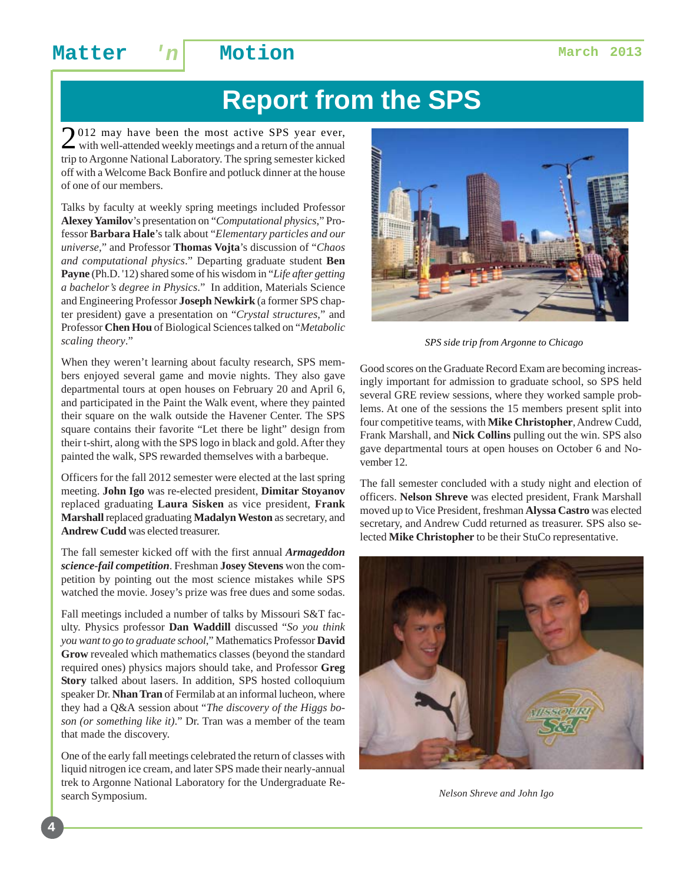# **Report from the SPS**

2012 may have been the most active SPS year ever, with well-attended weekly meetings and a return of the annual trip to Argonne National Laboratory. The spring semester kicked off with a Welcome Back Bonfire and potluck dinner at the house of one of our members.

Talks by faculty at weekly spring meetings included Professor **Alexey Yamilov**'s presentation on "*Computational physics*," Professor **Barbara Hale**'s talk about "*Elementary particles and our universe*," and Professor **Thomas Vojta**'s discussion of "*Chaos and computational physics*." Departing graduate student **Ben Payne** (Ph.D. '12) shared some of his wisdom in "*Life after getting a bachelor's degree in Physics*." In addition, Materials Science and Engineering Professor **Joseph Newkirk** (a former SPS chapter president) gave a presentation on "*Crystal structures*," and Professor **Chen Hou** of Biological Sciences talked on "*Metabolic scaling theory*."

When they weren't learning about faculty research, SPS members enjoyed several game and movie nights. They also gave departmental tours at open houses on February 20 and April 6, and participated in the Paint the Walk event, where they painted their square on the walk outside the Havener Center. The SPS square contains their favorite "Let there be light" design from their t-shirt, along with the SPS logo in black and gold. After they painted the walk, SPS rewarded themselves with a barbeque.

Officers for the fall 2012 semester were elected at the last spring meeting. **John Igo** was re-elected president, **Dimitar Stoyanov** replaced graduating **Laura Sisken** as vice president, **Frank Marshall** replaced graduating **Madalyn Weston** as secretary, and **Andrew Cudd** was elected treasurer.

The fall semester kicked off with the first annual *Armageddon science-fail competition*. Freshman **Josey Stevens** won the competition by pointing out the most science mistakes while SPS watched the movie. Josey's prize was free dues and some sodas.

Fall meetings included a number of talks by Missouri S&T faculty. Physics professor **Dan Waddill** discussed "*So you think you want to go to graduate school*," Mathematics Professor **David Grow** revealed which mathematics classes (beyond the standard required ones) physics majors should take, and Professor **Greg Story** talked about lasers. In addition, SPS hosted colloquium speaker Dr. **Nhan Tran** of Fermilab at an informal lucheon, where they had a Q&A session about "*The discovery of the Higgs boson (or something like it)*." Dr. Tran was a member of the team that made the discovery.

One of the early fall meetings celebrated the return of classes with liquid nitrogen ice cream, and later SPS made their nearly-annual trek to Argonne National Laboratory for the Undergraduate Research Symposium.



*SPS side trip from Argonne to Chicago*

Good scores on the Graduate Record Exam are becoming increasingly important for admission to graduate school, so SPS held several GRE review sessions, where they worked sample problems. At one of the sessions the 15 members present split into four competitive teams, with **Mike Christopher**, Andrew Cudd, Frank Marshall, and **Nick Collins** pulling out the win. SPS also gave departmental tours at open houses on October 6 and November 12.

The fall semester concluded with a study night and election of officers. **Nelson Shreve** was elected president, Frank Marshall moved up to Vice President, freshman **Alyssa Castro** was elected secretary, and Andrew Cudd returned as treasurer. SPS also selected **Mike Christopher** to be their StuCo representative.



*Nelson Shreve and John Igo*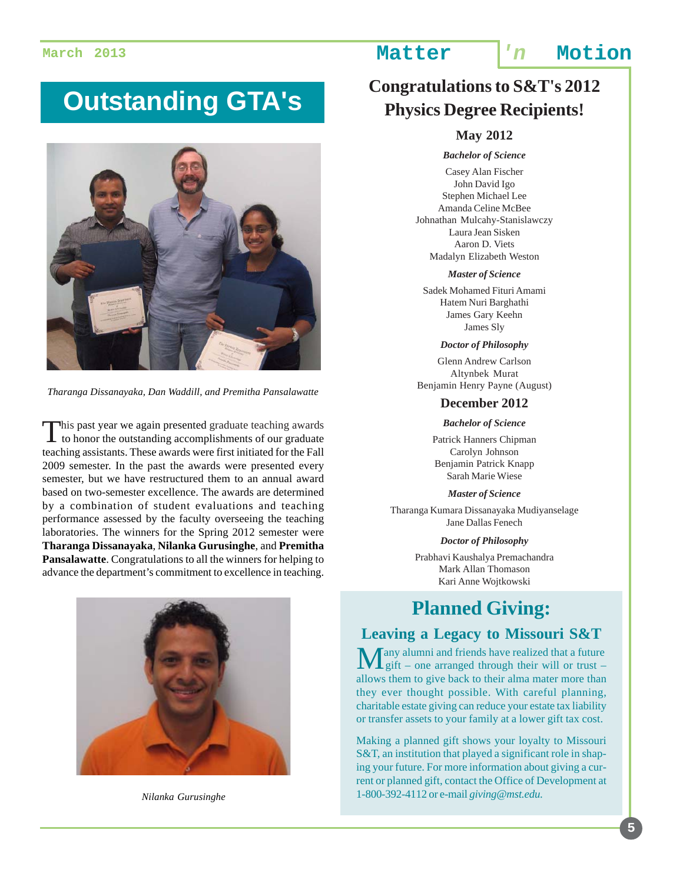# **Outstanding GTA's**



*Tharanga Dissanayaka, Dan Waddill, and Premitha Pansalawatte*

This past year we again presented graduate teaching awards<br>to honor the outstanding accomplishments of our graduate teaching assistants. These awards were first initiated for the Fall 2009 semester. In the past the awards were presented every semester, but we have restructured them to an annual award based on two-semester excellence. The awards are determined by a combination of student evaluations and teaching performance assessed by the faculty overseeing the teaching laboratories. The winners for the Spring 2012 semester were **Tharanga Dissanayaka**, **Nilanka Gurusinghe**, and **Premitha Pansalawatte**. Congratulations to all the winners for helping to advance the department's commitment to excellence in teaching.



*Nilanka Gurusinghe*

### **March 2013 Matter 'n Motion**

### **Congratulations to S&T's 2012 Physics Degree Recipients!**

#### **May 2012**

#### *Bachelor of Science*

Casey Alan Fischer John David Igo Stephen Michael Lee Amanda Celine McBee Johnathan Mulcahy-Stanislawczy Laura Jean Sisken Aaron D. Viets Madalyn Elizabeth Weston

#### *Master of Science*

Sadek Mohamed Fituri Amami Hatem Nuri Barghathi James Gary Keehn James Sly

#### *Doctor of Philosophy*

Glenn Andrew Carlson Altynbek Murat Benjamin Henry Payne (August)

#### **December 2012**

*Bachelor of Science*

Patrick Hanners Chipman Carolyn Johnson Benjamin Patrick Knapp Sarah Marie Wiese

#### *Master of Science*

Tharanga Kumara Dissanayaka Mudiyanselage Jane Dallas Fenech

*Doctor of Philosophy*

Prabhavi Kaushalya Premachandra Mark Allan Thomason Kari Anne Wojtkowski

### **Planned Giving:**

#### **Leaving a Legacy to Missouri S&T**

Tany alumni and friends have realized that a future Lgift – one arranged through their will or trust – allows them to give back to their alma mater more than they ever thought possible. With careful planning, charitable estate giving can reduce your estate tax liability or transfer assets to your family at a lower gift tax cost.

Making a planned gift shows your loyalty to Missouri S&T, an institution that played a significant role in shaping your future. For more information about giving a current or planned gift, contact the Office of Development at 1-800-392-4112 or e-mail *giving@mst.edu*.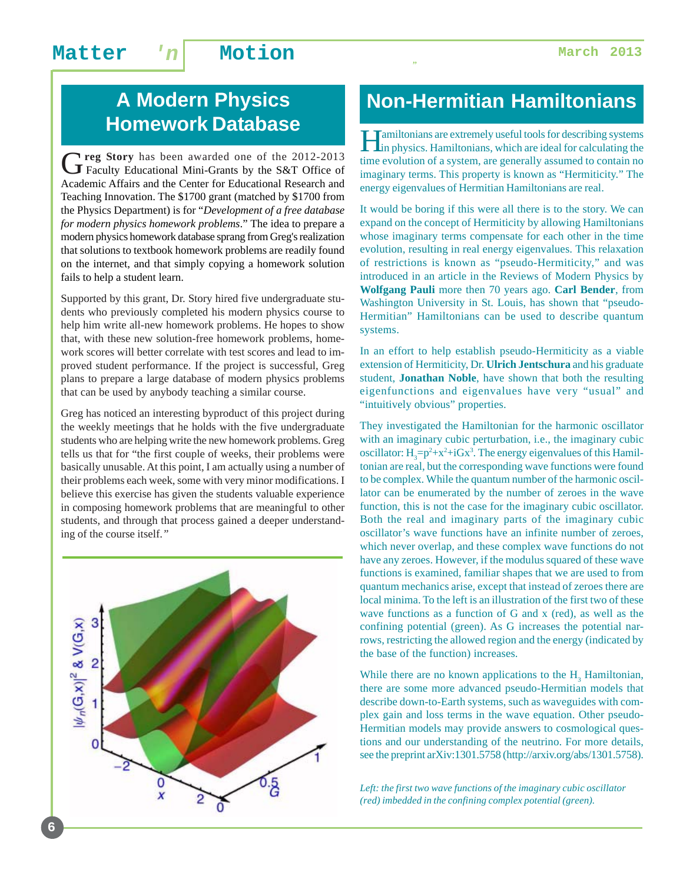### Matter 'n Motion **Matter** 1

### **A Modern Physics Homework Database**

G**reg Story** has been awarded one of the 2012-2013 Faculty Educational Mini-Grants by the S&T Office of Academic Affairs and the Center for Educational Research and Teaching Innovation. The \$1700 grant (matched by \$1700 from the Physics Department) is for "*Development of a free database for modern physics homework problems*." The idea to prepare a modern physics homework database sprang from Greg's realization that solutions to textbook homework problems are readily found on the internet, and that simply copying a homework solution fails to help a student learn.

Supported by this grant, Dr. Story hired five undergraduate students who previously completed his modern physics course to help him write all-new homework problems. He hopes to show that, with these new solution-free homework problems, homework scores will better correlate with test scores and lead to improved student performance. If the project is successful, Greg plans to prepare a large database of modern physics problems that can be used by anybody teaching a similar course.

Greg has noticed an interesting byproduct of this project during the weekly meetings that he holds with the five undergraduate students who are helping write the new homework problems. Greg tells us that for "the first couple of weeks, their problems were basically unusable. At this point, I am actually using a number of their problems each week, some with very minor modifications. I believe this exercise has given the students valuable experience in composing homework problems that are meaningful to other students, and through that process gained a deeper understanding of the course itself.*"*



### **Non-Hermitian Hamiltonians**

*"*

Hamiltonians are extremely useful tools for describing systems in physics. Hamiltonians, which are ideal for calculating the time evolution of a system, are generally assumed to contain no imaginary terms. This property is known as "Hermiticity." The energy eigenvalues of Hermitian Hamiltonians are real.

It would be boring if this were all there is to the story. We can expand on the concept of Hermiticity by allowing Hamiltonians whose imaginary terms compensate for each other in the time evolution, resulting in real energy eigenvalues. This relaxation of restrictions is known as "pseudo-Hermiticity," and was introduced in an article in the Reviews of Modern Physics by **Wolfgang Pauli** more then 70 years ago. **Carl Bender**, from Washington University in St. Louis, has shown that "pseudo-Hermitian" Hamiltonians can be used to describe quantum systems.

In an effort to help establish pseudo-Hermiticity as a viable extension of Hermiticity, Dr. **Ulrich Jentschura** and his graduate student, **Jonathan Noble**, have shown that both the resulting eigenfunctions and eigenvalues have very "usual" and "intuitively obvious" properties.

They investigated the Hamiltonian for the harmonic oscillator with an imaginary cubic perturbation, i.e., the imaginary cubic oscillator:  $H_3 = p^2 + x^2 + iGx^3$ . The energy eigenvalues of this Hamiltonian are real, but the corresponding wave functions were found to be complex. While the quantum number of the harmonic oscillator can be enumerated by the number of zeroes in the wave function, this is not the case for the imaginary cubic oscillator. Both the real and imaginary parts of the imaginary cubic oscillator's wave functions have an infinite number of zeroes, which never overlap, and these complex wave functions do not have any zeroes. However, if the modulus squared of these wave functions is examined, familiar shapes that we are used to from quantum mechanics arise, except that instead of zeroes there are local minima. To the left is an illustration of the first two of these wave functions as a function of G and x (red), as well as the confining potential (green). As G increases the potential narrows, restricting the allowed region and the energy (indicated by the base of the function) increases.

While there are no known applications to the  $H_3$  Hamiltonian, there are some more advanced pseudo-Hermitian models that describe down-to-Earth systems, such as waveguides with complex gain and loss terms in the wave equation. Other pseudo-Hermitian models may provide answers to cosmological questions and our understanding of the neutrino. For more details, see the preprint arXiv:1301.5758 (http://arxiv.org/abs/1301.5758).

*Left: the first two wave functions of the imaginary cubic oscillator (red) imbedded in the confining complex potential (green).*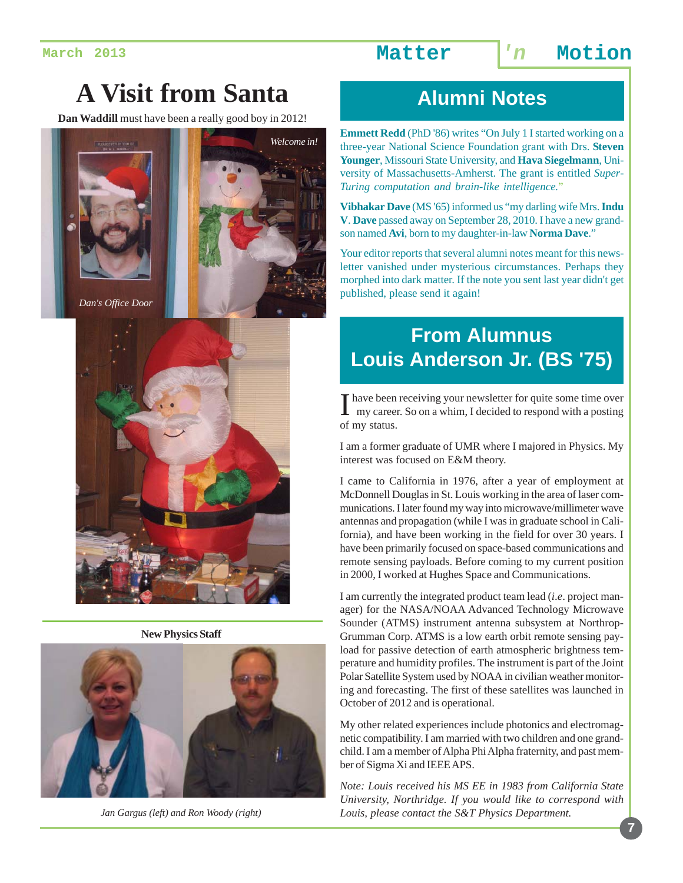# **A Visit from Santa**

**Dan Waddill** must have been a really good boy in 2012!





**New Physics Staff**



*Jan Gargus (left) and Ron Woody (right)*

### **Alumni Notes**

**Emmett Redd** (PhD '86) writes "On July 1 I started working on a three-year National Science Foundation grant with Drs. **Steven Younger**, Missouri State University, and **Hava Siegelmann**, University of Massachusetts-Amherst. The grant is entitled *Super-Turing computation and brain-like intelligence.*"

**Vibhakar Dave** (MS '65) informed us "my darling wife Mrs. **Indu V**. **Dave** passed away on September 28, 2010. I have a new grandson named **Avi**, born to my daughter-in-law **Norma Dave**."

Your editor reports that several alumni notes meant for this newsletter vanished under mysterious circumstances. Perhaps they morphed into dark matter. If the note you sent last year didn't get published, please send it again!

# **From Alumnus Louis Anderson Jr. (BS '75)**

I have been receiving your newsletter for quite some time over my career. So on a whim, I decided to respond with a posting of my status.

I am a former graduate of UMR where I majored in Physics. My interest was focused on E&M theory.

I came to California in 1976, after a year of employment at McDonnell Douglas in St. Louis working in the area of laser communications. I later found my way into microwave/millimeter wave antennas and propagation (while I was in graduate school in California), and have been working in the field for over 30 years. I have been primarily focused on space-based communications and remote sensing payloads. Before coming to my current position in 2000, I worked at Hughes Space and Communications.

I am currently the integrated product team lead (*i*.*e*. project manager) for the NASA/NOAA Advanced Technology Microwave Sounder (ATMS) instrument antenna subsystem at Northrop-Grumman Corp. ATMS is a low earth orbit remote sensing payload for passive detection of earth atmospheric brightness temperature and humidity profiles. The instrument is part of the Joint Polar Satellite System used by NOAA in civilian weather monitoring and forecasting. The first of these satellites was launched in October of 2012 and is operational.

My other related experiences include photonics and electromagnetic compatibility. I am married with two children and one grandchild. I am a member of Alpha Phi Alpha fraternity, and past member of Sigma Xi and IEEE APS.

*Note: Louis received his MS EE in 1983 from California State University, Northridge. If you would like to correspond with Louis, please contact the S&T Physics Department.*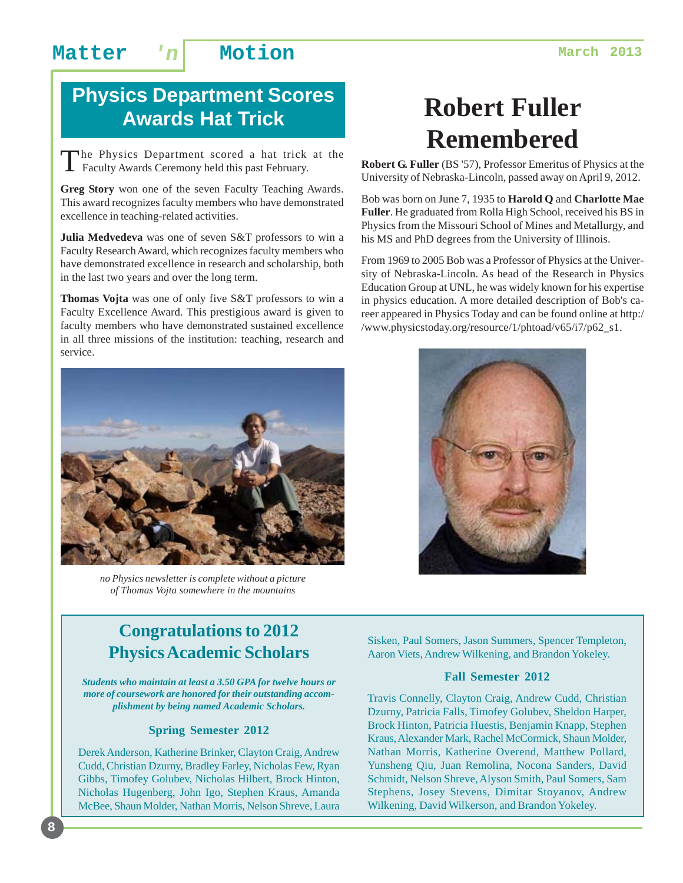# **Physics Department Scores Awards Hat Trick**

The Physics Department scored a hat trick at the Faculty Awards Ceremony held this past February.

**Greg Story** won one of the seven Faculty Teaching Awards. This award recognizes faculty members who have demonstrated excellence in teaching-related activities.

**Julia Medvedeva** was one of seven S&T professors to win a Faculty Research Award, which recognizes faculty members who have demonstrated excellence in research and scholarship, both in the last two years and over the long term.

**Thomas Vojta** was one of only five S&T professors to win a Faculty Excellence Award. This prestigious award is given to faculty members who have demonstrated sustained excellence in all three missions of the institution: teaching, research and service.



*no Physics newsletter is complete without a picture of Thomas Vojta somewhere in the mountains*

# **Robert Fuller Remembered**

**Robert G. Fuller** (BS '57), Professor Emeritus of Physics at the University of Nebraska-Lincoln, passed away on April 9, 2012.

Bob was born on June 7, 1935 to **Harold Q** and **Charlotte Mae Fuller**. He graduated from Rolla High School, received his BS in Physics from the Missouri School of Mines and Metallurgy, and his MS and PhD degrees from the University of Illinois.

From 1969 to 2005 Bob was a Professor of Physics at the University of Nebraska-Lincoln. As head of the Research in Physics Education Group at UNL, he was widely known for his expertise in physics education. A more detailed description of Bob's career appeared in Physics Today and can be found online at http:/ /www.physicstoday.org/resource/1/phtoad/v65/i7/p62\_s1.



#### **Congratulations to 2012 Physics Academic Scholars**

*Students who maintain at least a 3.50 GPA for twelve hours or more of coursework are honored for their outstanding accomplishment by being named Academic Scholars.*

#### **Spring Semester 2012**

Derek Anderson, Katherine Brinker, Clayton Craig, Andrew Cudd, Christian Dzurny, Bradley Farley, Nicholas Few, Ryan Gibbs, Timofey Golubev, Nicholas Hilbert, Brock Hinton, Nicholas Hugenberg, John Igo, Stephen Kraus, Amanda McBee, Shaun Molder, Nathan Morris, Nelson Shreve, Laura

**8**

Sisken, Paul Somers, Jason Summers, Spencer Templeton, Aaron Viets, Andrew Wilkening, and Brandon Yokeley.

#### **Fall Semester 2012**

Travis Connelly, Clayton Craig, Andrew Cudd, Christian Dzurny, Patricia Falls, Timofey Golubev, Sheldon Harper, Brock Hinton, Patricia Huestis, Benjamin Knapp, Stephen Kraus, Alexander Mark, Rachel McCormick, Shaun Molder, Nathan Morris, Katherine Overend, Matthew Pollard, Yunsheng Qiu, Juan Remolina, Nocona Sanders, David Schmidt, Nelson Shreve, Alyson Smith, Paul Somers, Sam Stephens, Josey Stevens, Dimitar Stoyanov, Andrew Wilkening, David Wilkerson, and Brandon Yokeley.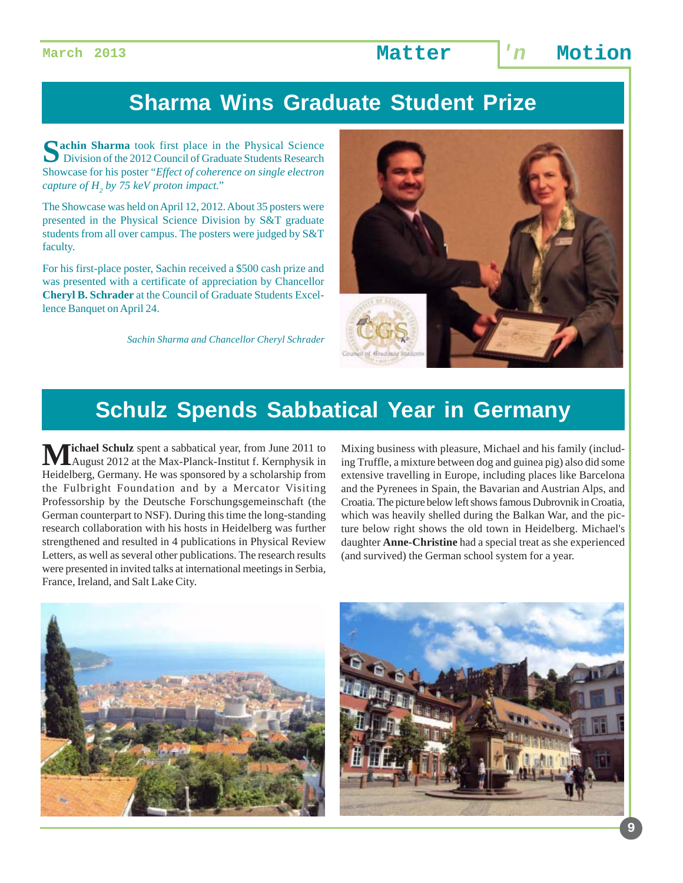# **Sharma Wins Graduate Student Prize**

**Nachin Sharma** took first place in the Physical Science Division of the 2012 Council of Graduate Students Research Showcase for his poster "*Effect of coherence on single electron capture of H2 by 75 keV proton impact*."

The Showcase was held on April 12, 2012. About 35 posters were presented in the Physical Science Division by S&T graduate students from all over campus. The posters were judged by S&T faculty.

For his first-place poster, Sachin received a \$500 cash prize and was presented with a certificate of appreciation by Chancellor **Cheryl B. Schrader** at the Council of Graduate Students Excellence Banquet on April 24.

*Sachin Sharma and Chancellor Cheryl Schrader*



### **Schulz Spends Sabbatical Year in Germany**

**Tichael Schulz** spent a sabbatical year, from June 2011 to August 2012 at the Max-Planck-Institut f. Kernphysik in Heidelberg, Germany. He was sponsored by a scholarship from the Fulbright Foundation and by a Mercator Visiting Professorship by the Deutsche Forschungsgemeinschaft (the German counterpart to NSF). During this time the long-standing research collaboration with his hosts in Heidelberg was further strengthened and resulted in 4 publications in Physical Review Letters, as well as several other publications. The research results were presented in invited talks at international meetings in Serbia, France, Ireland, and Salt Lake City.

Mixing business with pleasure, Michael and his family (including Truffle, a mixture between dog and guinea pig) also did some extensive travelling in Europe, including places like Barcelona and the Pyrenees in Spain, the Bavarian and Austrian Alps, and Croatia. The picture below left shows famous Dubrovnik in Croatia, which was heavily shelled during the Balkan War, and the picture below right shows the old town in Heidelberg. Michael's daughter **Anne-Christine** had a special treat as she experienced (and survived) the German school system for a year.



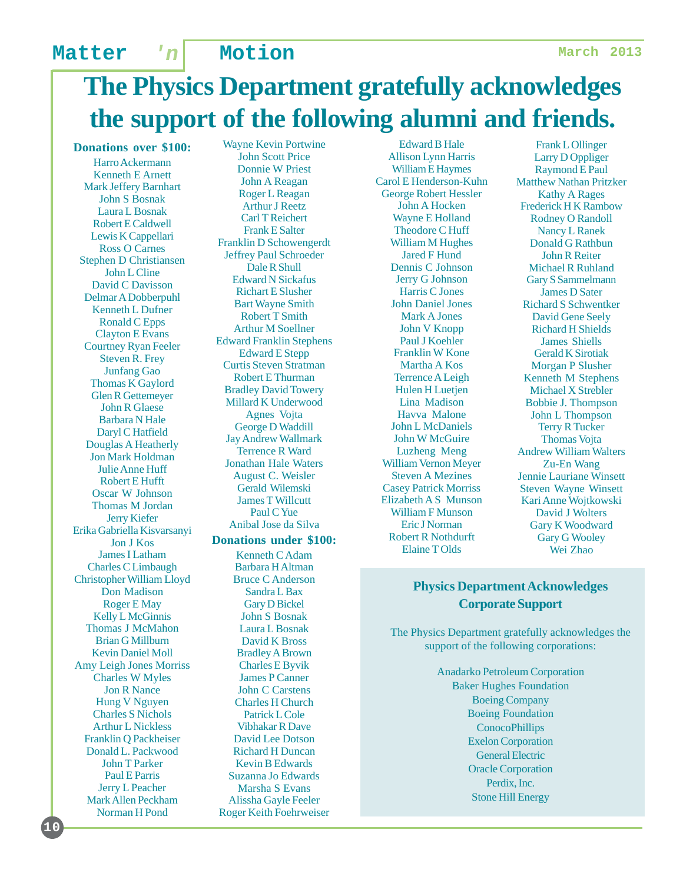# **The Physics Department gratefully acknowledges the support of the following alumni and friends.**

**Donations over \$100:**

Harro Ackermann Kenneth E Arnett Mark Jeffery Barnhart John S Bosnak Laura L Bosnak Robert E Caldwell Lewis K Cappellari Ross O Carnes Stephen D Christiansen John L Cline David C Davisson Delmar A Dobberpuhl Kenneth L Dufner Ronald C Epps Clayton E Evans Courtney Ryan Feeler Steven R. Frey Junfang Gao Thomas K Gaylord Glen R Gettemeyer John R Glaese Barbara N Hale Daryl C Hatfield Douglas A Heatherly Jon Mark Holdman Julie Anne Huff Robert E Hufft Oscar W Johnson Thomas M Jordan Jerry Kiefer Erika Gabriella Kisvarsanyi Jon J Kos James I Latham Charles C Limbaugh Christopher William Lloyd Don Madison Roger E May Kelly L McGinnis Thomas J McMahon Brian G Millburn Kevin Daniel Moll Amy Leigh Jones Morriss Charles W Myles Jon R Nance Hung V Nguyen Charles S Nichols Arthur L Nickless Franklin Q Packheiser Donald L. Packwood John T Parker Paul E Parris Jerry L Peacher Mark Allen Peckham Norman H Pond

**10**

Wayne Kevin Portwine John Scott Price Donnie W Priest John A Reagan Roger L Reagan Arthur J Reetz Carl T Reichert Frank E Salter Franklin D Schowengerdt Jeffrey Paul Schroeder Dale R Shull Edward N Sickafus Richart E Slusher Bart Wayne Smith Robert T Smith Arthur M Soellner Edward Franklin Stephens Edward E Stepp Curtis Steven Stratman Robert E Thurman Bradley David Towery Millard K Underwood Agnes Vojta George D Waddill Jay Andrew Wallmark Terrence R Ward Jonathan Hale Waters August C. Weisler Gerald Wilemski James T Willcutt Paul C Yue Anibal Jose da Silva **Donations under \$100:**

Kenneth C Adam Barbara H Altman Bruce C Anderson Sandra L Bax Gary D Bickel John S Bosnak Laura L Bosnak David K Bross Bradley A Brown Charles E Byvik James P Canner John C Carstens Charles H Church Patrick L Cole Vibhakar R Dave David Lee Dotson Richard H Duncan Kevin B Edwards Suzanna Jo Edwards Marsha S Evans Alissha Gayle Feeler Roger Keith Foehrweiser

Edward B Hale Allison Lynn Harris William E Haymes Carol E Henderson-Kuhn George Robert Hessler John A Hocken Wayne E Holland Theodore C Huff William M Hughes Jared F Hund Dennis C Johnson Jerry G Johnson Harris C Jones John Daniel Jones Mark A Jones John V Knopp Paul J Koehler Franklin W Kone Martha A Kos Terrence A Leigh Hulen H Luetjen Lina Madison Havva Malone John L McDaniels John W McGuire Luzheng Meng William Vernon Meyer Steven A Mezines Casey Patrick Morriss Elizabeth A S Munson William F Munson Eric J Norman Robert R Nothdurft Elaine T Olds

Frank L Ollinger Larry D Oppliger Raymond E Paul Matthew Nathan Pritzker Kathy A Rages Frederick H K Rambow Rodney O Randoll Nancy L Ranek Donald G Rathbun John R Reiter Michael R Ruhland Gary S Sammelmann James D Sater Richard S Schwentker David Gene Seely Richard H Shields James Shiells Gerald K Sirotiak Morgan P Slusher Kenneth M Stephens Michael X Strebler Bobbie J. Thompson John L Thompson Terry R Tucker Thomas Vojta Andrew William Walters Zu-En Wang Jennie Lauriane Winsett Steven Wayne Winsett Kari Anne Wojtkowski David J Wolters Gary K Woodward Gary G Wooley Wei Zhao

#### **Physics Department Acknowledges Corporate Support**

The Physics Department gratefully acknowledges the support of the following corporations:

> Anadarko Petroleum Corporation Baker Hughes Foundation Boeing Company Boeing Foundation **ConocoPhillips** Exelon Corporation General Electric Oracle Corporation Perdix, Inc. Stone Hill Energy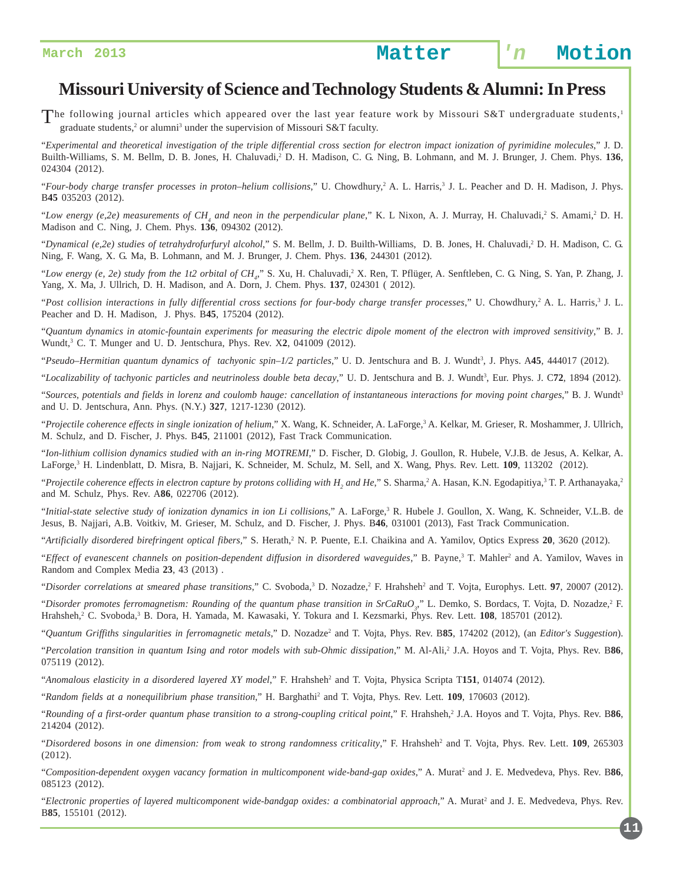#### **Missouri University of Science and Technology Students & Alumni: In Press**

The following journal articles which appeared over the last year feature work by Missouri S&T undergraduate students,<sup>1</sup>  $\overline{\phantom{a}}$  graduate students,<sup>2</sup> or alumni<sup>3</sup> under the supervision of Missouri S&T faculty.

"*Experimental and theoretical investigation of the triple differential cross section for electron impact ionization of pyrimidine molecules*," J. D. Builth-Williams, S. M. Bellm, D. B. Jones, H. Chaluvadi,<sup>2</sup> D. H. Madison, C. G. Ning, B. Lohmann, and M. J. Brunger, J. Chem. Phys. 136, 024304 (2012).

"Four-body charge transfer processes in proton–helium collisions," U. Chowdhury,<sup>2</sup> A. L. Harris,<sup>3</sup> J. L. Peacher and D. H. Madison, J. Phys. B**45** 035203 (2012).

"Low energy (e,2e) measurements of CH<sub>4</sub> and neon in the perpendicular plane," K. L Nixon, A. J. Murray, H. Chaluvadi,<sup>2</sup> S. Amami,<sup>2</sup> D. H. Madison and C. Ning, J. Chem. Phys. **136**, 094302 (2012).

"Dynamical (e,2e) studies of tetrahydrofurfuryl alcohol," S. M. Bellm, J. D. Builth-Williams, D. B. Jones, H. Chaluvadi,<sup>2</sup> D. H. Madison, C. G. Ning, F. Wang, X. G. Ma, B. Lohmann, and M. J. Brunger, J. Chem. Phys. **136**, 244301 (2012).

"Low energy (e, 2e) study from the 1t2 orbital of CH<sub>4</sub>," S. Xu, H. Chaluvadi,<sup>2</sup> X. Ren, T. Pflüger, A. Senftleben, C. G. Ning, S. Yan, P. Zhang, J. Yang, X. Ma, J. Ullrich, D. H. Madison, and A. Dorn, J. Chem. Phys. **137**, 024301 ( 2012).

"Post collision interactions in fully differential cross sections for four-body charge transfer processes," U. Chowdhury,<sup>2</sup> A. L. Harris,<sup>3</sup> J. L. Peacher and D. H. Madison, J. Phys. B**45**, 175204 (2012).

"*Quantum dynamics in atomic-fountain experiments for measuring the electric dipole moment of the electron with improved sensitivity*," B. J. Wundt,<sup>3</sup> C. T. Munger and U. D. Jentschura, Phys. Rev. X2, 041009 (2012).

"Pseudo–Hermitian quantum dynamics of tachyonic spin–1/2 particles," U. D. Jentschura and B. J. Wundt<sup>3</sup>, J. Phys. A45, 444017 (2012).

"*Localizability of tachyonic particles and neutrinoless double beta decay*," U. D. Jentschura and B. J. Wundt<sup>3</sup>, Eur. Phys. J. C72, 1894 (2012).

"*Sources, potentials and fields in lorenz and coulomb hauge: cancellation of instantaneous interactions for moving point charges*," B. J. Wundt3 and U. D. Jentschura, Ann. Phys. (N.Y.) **327**, 1217-1230 (2012).

"Projectile coherence effects in single ionization of helium," X. Wang, K. Schneider, A. LaForge,<sup>3</sup> A. Kelkar, M. Grieser, R. Moshammer, J. Ullrich, M. Schulz, and D. Fischer, J. Phys. B**45**, 211001 (2012), Fast Track Communication.

"*Ion-lithium collision dynamics studied with an in-ring MOTREMI*," D. Fischer, D. Globig, J. Goullon, R. Hubele, V.J.B. de Jesus, A. Kelkar, A. LaForge,<sup>3</sup> H. Lindenblatt, D. Misra, B. Najjari, K. Schneider, M. Schulz, M. Sell, and X. Wang, Phys. Rev. Lett. **109**, 113202 (2012).

"Projectile coherence effects in electron capture by protons colliding with H<sub>2</sub> and He," S. Sharma,<sup>2</sup> A. Hasan, K.N. Egodapitiya,<sup>3</sup> T. P. Arthanayaka,<sup>2</sup> and M. Schulz, Phys. Rev. A**86**, 022706 (2012).

"Initial-state selective study of ionization dynamics in ion Li collisions," A. LaForge,<sup>3</sup> R. Hubele J. Goullon, X. Wang, K. Schneider, V.L.B. de Jesus, B. Najjari, A.B. Voitkiv, M. Grieser, M. Schulz, and D. Fischer, J. Phys. B**46**, 031001 (2013), Fast Track Communication.

"Artificially disordered birefringent optical fibers," S. Herath,<sup>2</sup> N. P. Puente, E.I. Chaikina and A. Yamilov, Optics Express 20, 3620 (2012).

"Effect of evanescent channels on position-dependent diffusion in disordered waveguides," B. Payne,<sup>3</sup> T. Mahler<sup>2</sup> and A. Yamilov, Waves in Random and Complex Media **23**, 43 (2013) .

"Disorder correlations at smeared phase transitions," C. Svoboda,<sup>3</sup> D. Nozadze,<sup>2</sup> F. Hrahsheh<sup>2</sup> and T. Vojta, Europhys. Lett. **97**, 20007 (2012).

"Disorder promotes ferromagnetism: Rounding of the quantum phase transition in SrCaRuO<sub>3</sub>," L. Demko, S. Bordacs, T. Vojta, D. Nozadze,<sup>2</sup> F. Hrahsheh,<sup>2</sup> C. Svoboda,<sup>3</sup> B. Dora, H. Yamada, M. Kawasaki, Y. Tokura and I. Kezsmarki, Phys. Rev. Lett. 108, 185701 (2012).

"Quantum Griffiths singularities in ferromagnetic metals," D. Nozadze<sup>2</sup> and T. Vojta, Phys. Rev. B85, 174202 (2012), (an *Editor's Suggestion*).

"*Percolation transition in quantum Ising and rotor models with sub-Ohmic dissipation*," M. Al-Ali,2 J.A. Hoyos and T. Vojta, Phys. Rev. B**86**, 075119 (2012).

"Anomalous elasticity in a disordered layered XY model," F. Hrahsheh<sup>2</sup> and T. Vojta, Physica Scripta T151, 014074 (2012).

"*Random fields at a nonequilibrium phase transition*," H. Barghathi2 and T. Vojta, Phys. Rev. Lett. **109**, 170603 (2012).

"Rounding of a first-order quantum phase transition to a strong-coupling critical point," F. Hrahsheh,<sup>2</sup> J.A. Hoyos and T. Vojta, Phys. Rev. B86, 214204 (2012).

"Disordered bosons in one dimension: from weak to strong randomness criticality," F. Hrahsheh<sup>2</sup> and T. Vojta, Phys. Rev. Lett. **109**, 265303 (2012).

"Composition-dependent oxygen vacancy formation in multicomponent wide-band-gap oxides," A. Murat<sup>2</sup> and J. E. Medvedeva, Phys. Rev. B86, 085123 (2012).

"Electronic properties of layered multicomponent wide-bandgap oxides: a combinatorial approach," A. Murat<sup>2</sup> and J. E. Medvedeva, Phys. Rev. B**85**, 155101 (2012).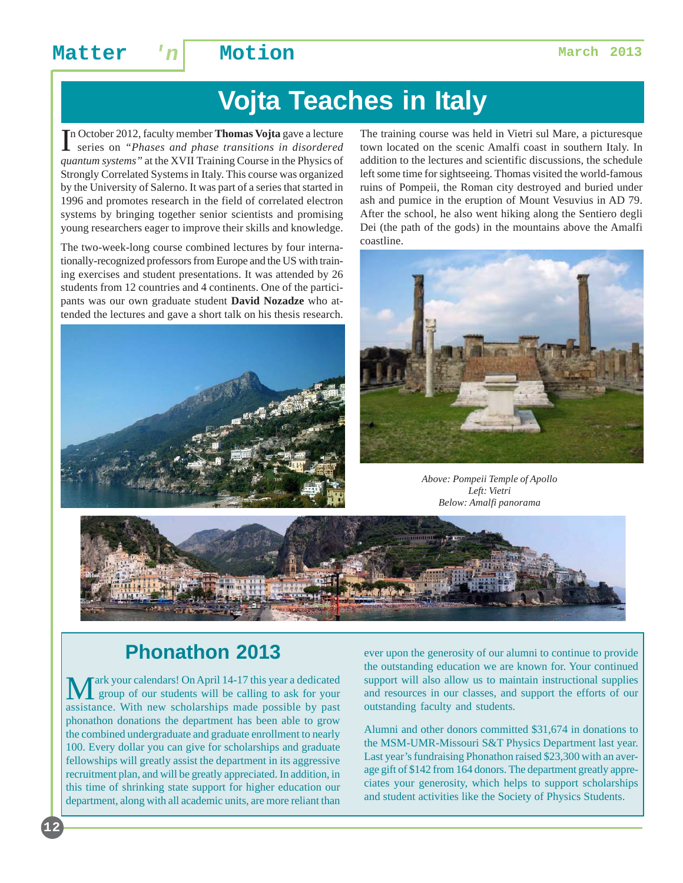### Matter 'n Motion **Matter** 1

# **Vojta Teaches in Italy**

In October 2012, faculty member **Thomas Vojta** gave a lecture<br>series on "Phases and phase transitions in disordered" series on *"Phases and phase transitions in disordered quantum systems"* at the XVII Training Course in the Physics of Strongly Correlated Systems in Italy. This course was organized by the University of Salerno. It was part of a series that started in 1996 and promotes research in the field of correlated electron systems by bringing together senior scientists and promising young researchers eager to improve their skills and knowledge.

The two-week-long course combined lectures by four internationally-recognized professors from Europe and the US with training exercises and student presentations. It was attended by 26 students from 12 countries and 4 continents. One of the participants was our own graduate student **David Nozadze** who attended the lectures and gave a short talk on his thesis research.



The training course was held in Vietri sul Mare, a picturesque town located on the scenic Amalfi coast in southern Italy. In addition to the lectures and scientific discussions, the schedule left some time for sightseeing. Thomas visited the world-famous ruins of Pompeii, the Roman city destroyed and buried under ash and pumice in the eruption of Mount Vesuvius in AD 79. After the school, he also went hiking along the Sentiero degli Dei (the path of the gods) in the mountains above the Amalfi coastline.



*Above: Pompeii Temple of Apollo Left: Vietri Below: Amalfi panorama*



### **Phonathon 2013**

ark your calendars! On April 14-17 this year a dedicated group of our students will be calling to ask for your assistance. With new scholarships made possible by past phonathon donations the department has been able to grow the combined undergraduate and graduate enrollment to nearly 100. Every dollar you can give for scholarships and graduate fellowships will greatly assist the department in its aggressive recruitment plan, and will be greatly appreciated. In addition, in this time of shrinking state support for higher education our department, along with all academic units, are more reliant than ever upon the generosity of our alumni to continue to provide the outstanding education we are known for. Your continued support will also allow us to maintain instructional supplies and resources in our classes, and support the efforts of our outstanding faculty and students.

Alumni and other donors committed \$31,674 in donations to the MSM-UMR-Missouri S&T Physics Department last year. Last year's fundraising Phonathon raised \$23,300 with an average gift of \$142 from 164 donors. The department greatly appreciates your generosity, which helps to support scholarships and student activities like the Society of Physics Students.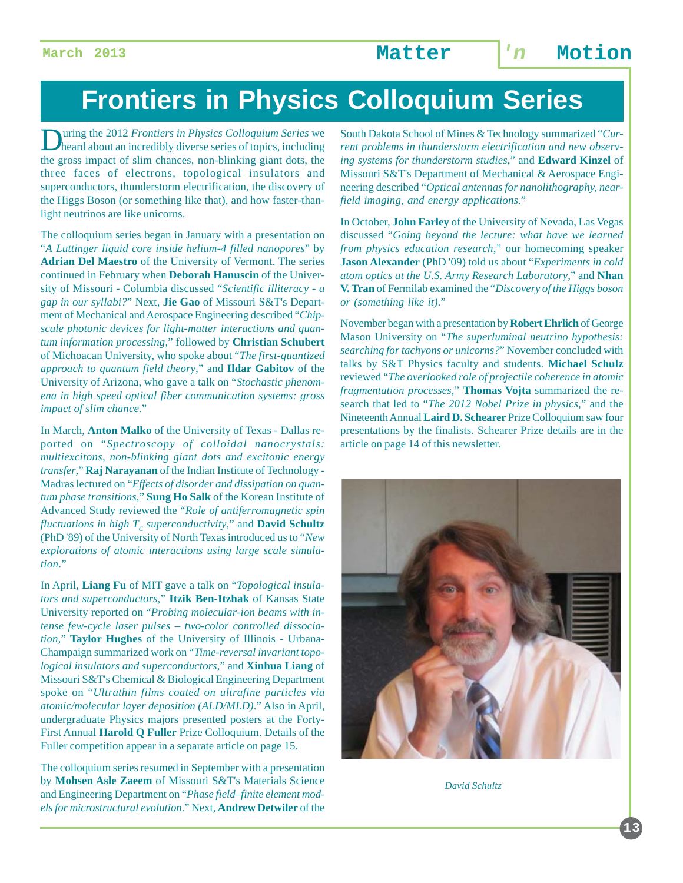# **Frontiers in Physics Colloquium Series**

uring the 2012 *Frontiers in Physics Colloquium Series* we heard about an incredibly diverse series of topics, including the gross impact of slim chances, non-blinking giant dots, the three faces of electrons, topological insulators and superconductors, thunderstorm electrification, the discovery of the Higgs Boson (or something like that), and how faster-thanlight neutrinos are like unicorns.

The colloquium series began in January with a presentation on "*A Luttinger liquid core inside helium-4 filled nanopores*" by **Adrian Del Maestro** of the University of Vermont. The series continued in February when **Deborah Hanuscin** of the University of Missouri - Columbia discussed "*Scientific illiteracy - a gap in our syllabi?*" Next, **Jie Gao** of Missouri S&T's Department of Mechanical and Aerospace Engineering described "*Chipscale photonic devices for light-matter interactions and quantum information processing*," followed by **Christian Schubert** of Michoacan University, who spoke about "*The first-quantized approach to quantum field theory*," and **Ildar Gabitov** of the University of Arizona, who gave a talk on "*Stochastic phenomena in high speed optical fiber communication systems: gross impact of slim chance*."

In March, **Anton Malko** of the University of Texas - Dallas reported on "*Spectroscopy of colloidal nanocrystals: multiexcitons, non-blinking giant dots and excitonic energy transfer*," **Raj Narayanan** of the Indian Institute of Technology - Madras lectured on "*Effects of disorder and dissipation on quantum phase transitions*," **Sung Ho Salk** of the Korean Institute of Advanced Study reviewed the "*Role of antiferromagnetic spin fluctuations in high*  $T_c$  *superconductivity*," and **David Schultz** (PhD '89) of the University of North Texas introduced us to "*New explorations of atomic interactions using large scale simulation*."

In April, **Liang Fu** of MIT gave a talk on "*Topological insulators and superconductors*," **Itzik Ben-Itzhak** of Kansas State University reported on "*Probing molecular-ion beams with intense few-cycle laser pulses – two-color controlled dissociation*," **Taylor Hughes** of the University of Illinois - Urbana-Champaign summarized work on "*Time-reversal invariant topological insulators and superconductors*," and **Xinhua Liang** of Missouri S&T's Chemical & Biological Engineering Department spoke on "*Ultrathin films coated on ultrafine particles via atomic/molecular layer deposition (ALD/MLD)*." Also in April, undergraduate Physics majors presented posters at the Forty-First Annual **Harold Q Fuller** Prize Colloquium. Details of the Fuller competition appear in a separate article on page 15.

The colloquium series resumed in September with a presentation by **Mohsen Asle Zaeem** of Missouri S&T's Materials Science and Engineering Department on "*Phase field–finite element models for microstructural evolution*." Next, **Andrew Detwiler** of the

South Dakota School of Mines & Technology summarized "*Current problems in thunderstorm electrification and new observing systems for thunderstorm studies*," and **Edward Kinzel** of Missouri S&T's Department of Mechanical & Aerospace Engineering described "*Optical antennas for nanolithography, nearfield imaging, and energy applications*."

In October, **John Farley** of the University of Nevada, Las Vegas discussed "*Going beyond the lecture: what have we learned from physics education research*," our homecoming speaker **Jason Alexander** (PhD '09) told us about "*Experiments in cold atom optics at the U.S. Army Research Laboratory*," and **Nhan V. Tran** of Fermilab examined the "*Discovery of the Higgs boson or (something like it)*."

November began with a presentation by **Robert Ehrlich** of George Mason University on "*The superluminal neutrino hypothesis: searching for tachyons or unicorns?*" November concluded with talks by S&T Physics faculty and students. **Michael Schulz** reviewed "*The overlooked role of projectile coherence in atomic fragmentation processes*," **Thomas Vojta** summarized the research that led to "*The 2012 Nobel Prize in physics*," and the Nineteenth Annual **Laird D. Schearer** Prize Colloquium saw four presentations by the finalists. Schearer Prize details are in the article on page 14 of this newsletter.



*David Schultz*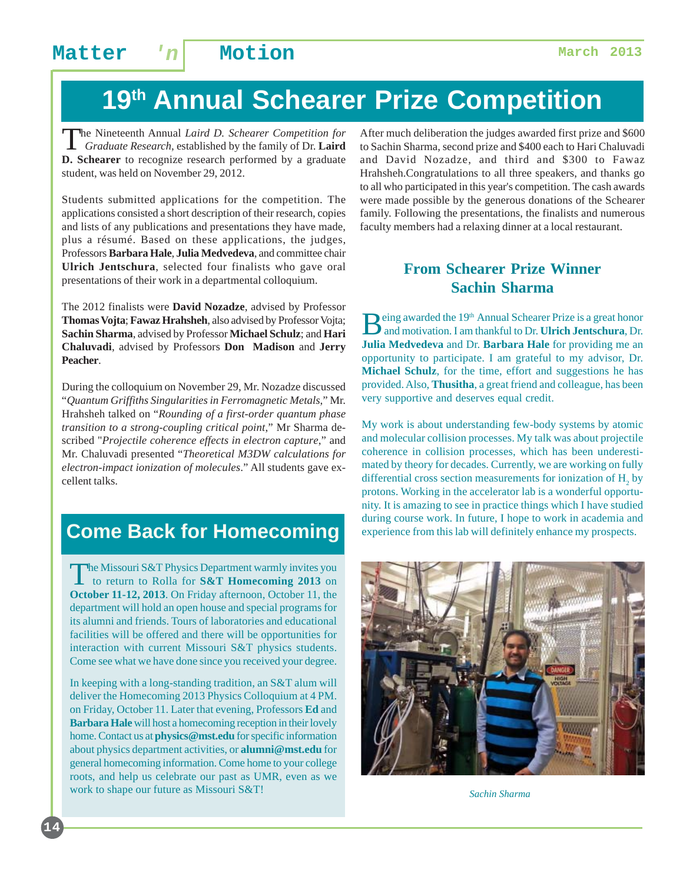# **19th Annual Schearer Prize Competition**

The Nineteenth Annual *Laird D. Schearer Competition for Graduate Research*, established by the family of Dr. **Laird D. Schearer** to recognize research performed by a graduate student, was held on November 29, 2012.

Students submitted applications for the competition. The applications consisted a short description of their research, copies and lists of any publications and presentations they have made, plus a résumé. Based on these applications, the judges, Professors **Barbara Hale**, **Julia Medvedeva**, and committee chair **Ulrich Jentschura**, selected four finalists who gave oral presentations of their work in a departmental colloquium.

The 2012 finalists were **David Nozadze**, advised by Professor **Thomas Vojta**; **Fawaz Hrahsheh**, also advised by Professor Vojta; **Sachin Sharma**, advised by Professor **Michael Schulz**; and **Hari Chaluvadi**, advised by Professors **Don Madison** and **Jerry Peacher**.

During the colloquium on November 29, Mr. Nozadze discussed "*Quantum Griffiths Singularities in Ferromagnetic Metals*," Mr. Hrahsheh talked on "*Rounding of a first-order quantum phase transition to a strong-coupling critical point*," Mr Sharma described "*Projectile coherence effects in electron capture*," and Mr. Chaluvadi presented "*Theoretical M3DW calculations for electron-impact ionization of molecules*." All students gave excellent talks.

### **Come Back for Homecoming**

The Missouri S&T Physics Department warmly invites you<br>to return to Rolla for **S&T Homecoming 2013** on **October 11-12, 2013**. On Friday afternoon, October 11, the department will hold an open house and special programs for its alumni and friends. Tours of laboratories and educational facilities will be offered and there will be opportunities for interaction with current Missouri S&T physics students. Come see what we have done since you received your degree.

In keeping with a long-standing tradition, an S&T alum will deliver the Homecoming 2013 Physics Colloquium at 4 PM. on Friday, October 11. Later that evening, Professors **Ed** and **Barbara Hale** will host a homecoming reception in their lovely home. Contact us at **physics@mst.edu** for specific information about physics department activities, or **alumni@mst.edu** for general homecoming information. Come home to your college roots, and help us celebrate our past as UMR, even as we work to shape our future as Missouri S&T!

After much deliberation the judges awarded first prize and \$600 to Sachin Sharma, second prize and \$400 each to Hari Chaluvadi and David Nozadze, and third and \$300 to Fawaz Hrahsheh.Congratulations to all three speakers, and thanks go to all who participated in this year's competition. The cash awards were made possible by the generous donations of the Schearer family. Following the presentations, the finalists and numerous faculty members had a relaxing dinner at a local restaurant.

#### **From Schearer Prize Winner Sachin Sharma**

**B**eing awarded the 19<sup>th</sup> Annual Schearer Prize is a great honor and motivation. I am thankful to Dr. **Ulrich Jentschura**, Dr. **Julia Medvedeva** and Dr. **Barbara Hale** for providing me an opportunity to participate. I am grateful to my advisor, Dr. **Michael Schulz**, for the time, effort and suggestions he has provided. Also, **Thusitha**, a great friend and colleague, has been very supportive and deserves equal credit.

My work is about understanding few-body systems by atomic and molecular collision processes. My talk was about projectile coherence in collision processes, which has been underestimated by theory for decades. Currently, we are working on fully differential cross section measurements for ionization of  $H_2$  by protons. Working in the accelerator lab is a wonderful opportunity. It is amazing to see in practice things which I have studied during course work. In future, I hope to work in academia and experience from this lab will definitely enhance my prospects.



*Sachin Sharma*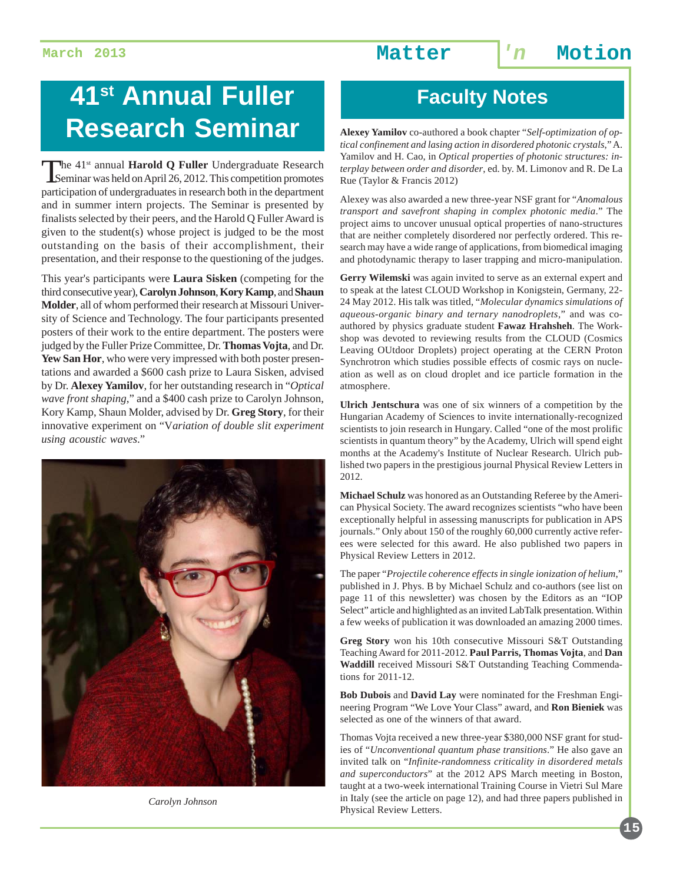# **41<sup>st</sup> Annual Fuller | Faculty Notes Research Seminar**

The 41<sup>st</sup> annual **Harold Q Fuller** Undergraduate Research<br>
Seminar was held on April 26, 2012. This competition promotes participation of undergraduates in research both in the department and in summer intern projects. The Seminar is presented by finalists selected by their peers, and the Harold Q Fuller Award is given to the student(s) whose project is judged to be the most outstanding on the basis of their accomplishment, their presentation, and their response to the questioning of the judges.

This year's participants were **Laura Sisken** (competing for the third consecutive year), **Carolyn Johnson**, **Kory Kamp**, and **Shaun Molder**, all of whom performed their research at Missouri University of Science and Technology. The four participants presented posters of their work to the entire department. The posters were judged by the Fuller Prize Committee, Dr. **Thomas Vojta**, and Dr. **Yew San Hor**, who were very impressed with both poster presentations and awarded a \$600 cash prize to Laura Sisken, advised by Dr. **Alexey Yamilov**, for her outstanding research in "*Optical wave front shaping*," and a \$400 cash prize to Carolyn Johnson, Kory Kamp, Shaun Molder, advised by Dr. **Greg Story**, for their innovative experiment on "V*ariation of double slit experiment using acoustic waves*."



*Carolyn Johnson*

**Alexey Yamilov** co-authored a book chapter "*Self-optimization of optical confinement and lasing action in disordered photonic crystals*," A. Yamilov and H. Cao, in *Optical properties of photonic structures: interplay between order and disorder*, ed. by. M. Limonov and R. De La Rue (Taylor & Francis 2012)

Alexey was also awarded a new three-year NSF grant for "*Anomalous transport and savefront shaping in complex photonic media*." The project aims to uncover unusual optical properties of nano-structures that are neither completely disordered nor perfectly ordered. This research may have a wide range of applications, from biomedical imaging and photodynamic therapy to laser trapping and micro-manipulation.

**Gerry Wilemski** was again invited to serve as an external expert and to speak at the latest CLOUD Workshop in Konigstein, Germany, 22- 24 May 2012. His talk was titled, "*Molecular dynamics simulations of aqueous-organic binary and ternary nanodroplets*," and was coauthored by physics graduate student **Fawaz Hrahsheh**. The Workshop was devoted to reviewing results from the CLOUD (Cosmics Leaving OUtdoor Droplets) project operating at the CERN Proton Synchrotron which studies possible effects of cosmic rays on nucleation as well as on cloud droplet and ice particle formation in the atmosphere.

**Ulrich Jentschura** was one of six winners of a competition by the Hungarian Academy of Sciences to invite internationally-recognized scientists to join research in Hungary. Called "one of the most prolific scientists in quantum theory" by the Academy, Ulrich will spend eight months at the Academy's Institute of Nuclear Research. Ulrich published two papers in the prestigious journal Physical Review Letters in 2012.

**Michael Schulz** was honored as an Outstanding Referee by the American Physical Society. The award recognizes scientists "who have been exceptionally helpful in assessing manuscripts for publication in APS journals." Only about 150 of the roughly 60,000 currently active referees were selected for this award. He also published two papers in Physical Review Letters in 2012.

The paper "*Projectile coherence effects in single ionization of helium*," published in J. Phys. B by Michael Schulz and co-authors (see list on page 11 of this newsletter) was chosen by the Editors as an "IOP Select" article and highlighted as an invited LabTalk presentation. Within a few weeks of publication it was downloaded an amazing 2000 times.

**Greg Story** won his 10th consecutive Missouri S&T Outstanding Teaching Award for 2011-2012. **Paul Parris, Thomas Vojta**, and **Dan Waddill** received Missouri S&T Outstanding Teaching Commendations for 2011-12.

**Bob Dubois** and **David Lay** were nominated for the Freshman Engineering Program "We Love Your Class" award, and **Ron Bieniek** was selected as one of the winners of that award.

Thomas Vojta received a new three-year \$380,000 NSF grant for studies of "*Unconventional quantum phase transitions*." He also gave an invited talk on "*Infinite-randomness criticality in disordered metals and superconductors*" at the 2012 APS March meeting in Boston, taught at a two-week international Training Course in Vietri Sul Mare in Italy (see the article on page 12), and had three papers published in Physical Review Letters.